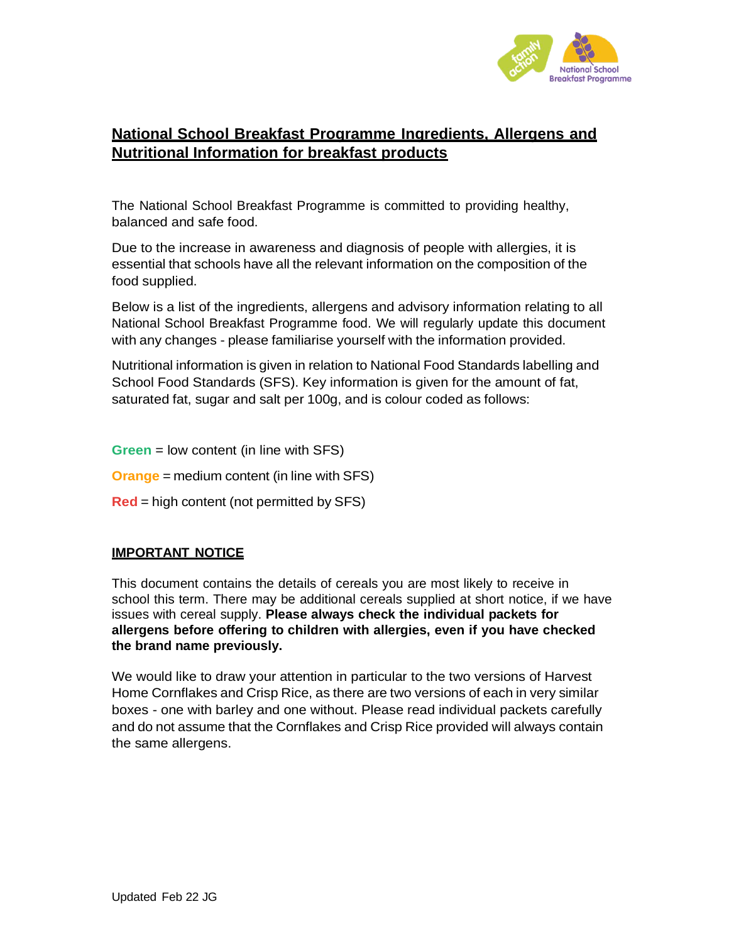

## **National School Breakfast Programme Ingredients, Allergens and Nutritional Information for breakfast products**

The National School Breakfast Programme is committed to providing healthy, balanced and safe food.

Due to the increase in awareness and diagnosis of people with allergies, it is essential that schools have all the relevant information on the composition of the food supplied.

Below is a list of the ingredients, allergens and advisory information relating to all National School Breakfast Programme food. We will regularly update this document with any changes - please familiarise yourself with the information provided.

Nutritional information is given in relation to National Food Standards labelling and School Food Standards (SFS). Key information is given for the amount of fat, saturated fat, sugar and salt per 100g, and is colour coded as follows:

**Green** = low content (in line with SFS)

**Orange** = medium content (in line with SFS)

**Red** = high content (not permitted by SFS)

## **IMPORTANT NOTICE**

This document contains the details of cereals you are most likely to receive in school this term. There may be additional cereals supplied at short notice, if we have issues with cereal supply. **Please always check the individual packets for allergens before offering to children with allergies, even if you have checked the brand name previously.**

We would like to draw your attention in particular to the two versions of Harvest Home Cornflakes and Crisp Rice, as there are two versions of each in very similar boxes - one with barley and one without. Please read individual packets carefully and do not assume that the Cornflakes and Crisp Rice provided will always contain the same allergens.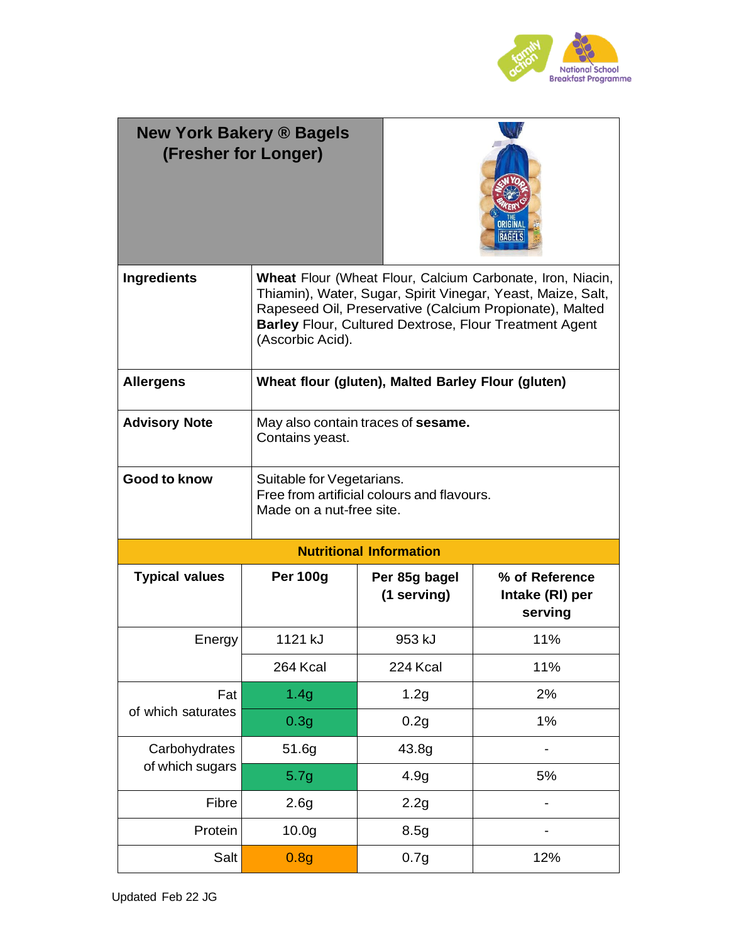

| <b>New York Bakery ® Bagels</b><br>(Fresher for Longer) |                                                                                                                                                                                                                                                                                  |                                                    | <b>BAGELS</b>                                |
|---------------------------------------------------------|----------------------------------------------------------------------------------------------------------------------------------------------------------------------------------------------------------------------------------------------------------------------------------|----------------------------------------------------|----------------------------------------------|
| <b>Ingredients</b>                                      | <b>Wheat Flour (Wheat Flour, Calcium Carbonate, Iron, Niacin,</b><br>Thiamin), Water, Sugar, Spirit Vinegar, Yeast, Maize, Salt,<br>Rapeseed Oil, Preservative (Calcium Propionate), Malted<br><b>Barley Flour, Cultured Dextrose, Flour Treatment Agent</b><br>(Ascorbic Acid). |                                                    |                                              |
| <b>Allergens</b>                                        |                                                                                                                                                                                                                                                                                  | Wheat flour (gluten), Malted Barley Flour (gluten) |                                              |
| <b>Advisory Note</b>                                    | May also contain traces of <b>sesame.</b><br>Contains yeast.                                                                                                                                                                                                                     |                                                    |                                              |
| <b>Good to know</b>                                     | Suitable for Vegetarians.<br>Made on a nut-free site.                                                                                                                                                                                                                            | Free from artificial colours and flavours.         |                                              |
|                                                         |                                                                                                                                                                                                                                                                                  | <b>Nutritional Information</b>                     |                                              |
| <b>Typical values</b>                                   | <b>Per 100g</b>                                                                                                                                                                                                                                                                  | Per 85g bagel<br>(1 serving)                       | % of Reference<br>Intake (RI) per<br>serving |
| Energy                                                  | 1121 kJ                                                                                                                                                                                                                                                                          | 953 kJ                                             | 11%                                          |
|                                                         | 264 Kcal                                                                                                                                                                                                                                                                         | 224 Kcal                                           | 11%                                          |
| Fat                                                     | 1.4g                                                                                                                                                                                                                                                                             | 1.2g                                               | 2%                                           |
| of which saturates                                      | 0.3 <sub>g</sub>                                                                                                                                                                                                                                                                 | 0.2g                                               | 1%                                           |
| Carbohydrates                                           | 51.6g                                                                                                                                                                                                                                                                            | 43.8g                                              |                                              |
| of which sugars                                         | 5.7g                                                                                                                                                                                                                                                                             | 4.9 <sub>g</sub>                                   | 5%                                           |
| Fibre                                                   | 2.6 <sub>g</sub>                                                                                                                                                                                                                                                                 | 2.2g                                               |                                              |
| Protein                                                 | 10.0 <sub>g</sub>                                                                                                                                                                                                                                                                | 8.5g                                               |                                              |
| Salt                                                    | 0.8g                                                                                                                                                                                                                                                                             | 0.7g                                               | 12%                                          |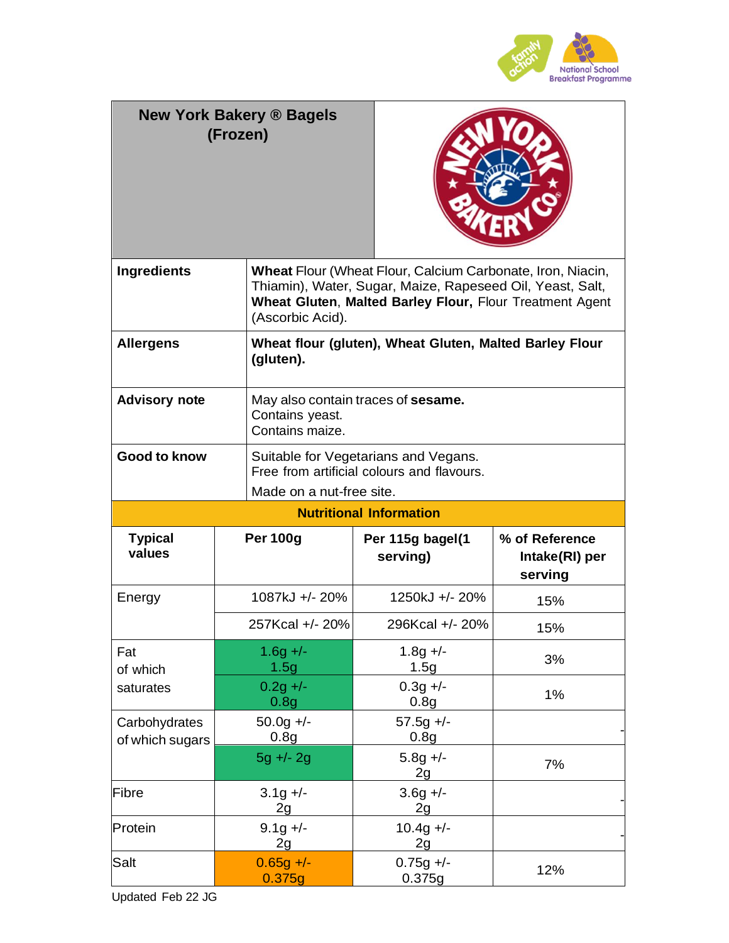

|                                  | <b>New York Bakery ® Bagels</b><br>(Frozen) |                                                                                                                                                                                     |                                             |
|----------------------------------|---------------------------------------------|-------------------------------------------------------------------------------------------------------------------------------------------------------------------------------------|---------------------------------------------|
| <b>Ingredients</b>               | (Ascorbic Acid).                            | Wheat Flour (Wheat Flour, Calcium Carbonate, Iron, Niacin,<br>Thiamin), Water, Sugar, Maize, Rapeseed Oil, Yeast, Salt,<br>Wheat Gluten, Malted Barley Flour, Flour Treatment Agent |                                             |
| <b>Allergens</b>                 | (gluten).                                   | Wheat flour (gluten), Wheat Gluten, Malted Barley Flour                                                                                                                             |                                             |
| <b>Advisory note</b>             | Contains yeast.<br>Contains maize.          | May also contain traces of sesame.                                                                                                                                                  |                                             |
| <b>Good to know</b>              |                                             | Suitable for Vegetarians and Vegans.<br>Free from artificial colours and flavours.<br>Made on a nut-free site.                                                                      |                                             |
|                                  |                                             | <b>Nutritional Information</b>                                                                                                                                                      |                                             |
| <b>Typical</b><br>values         | <b>Per 100g</b>                             | Per 115g bagel(1<br>serving)                                                                                                                                                        | % of Reference<br>Intake(RI) per<br>serving |
| Energy                           | 1087kJ +/- 20%                              | 1250kJ +/- 20%                                                                                                                                                                      | 15%                                         |
|                                  | 257Kcal +/- 20%                             | 296Kcal +/- 20%                                                                                                                                                                     | 15%                                         |
| Fat<br>of which                  | $1.6g +/-$<br>1.5g                          | $1.8g +/-$<br>1.5g                                                                                                                                                                  | 3%                                          |
| saturates                        | $0.2g +/-$<br>0.8 <sub>g</sub>              | $0.3g +/-$<br>0.8 <sub>g</sub>                                                                                                                                                      | 1%                                          |
| Carbohydrates<br>of which sugars | $50.0g +/-$<br>0.8 <sub>g</sub>             | $57.5g +/-$<br>0.8 <sub>g</sub>                                                                                                                                                     |                                             |
|                                  | $5g + -2g$                                  | $5.8g +/-$<br>2g                                                                                                                                                                    | 7%                                          |
| Fibre                            | $3.1g +/-$<br>2g                            | $3.6g +/-$<br>2g                                                                                                                                                                    |                                             |
| Protein                          | $9.1g +/-$<br>2g                            | $10.4g +/-$<br>2g                                                                                                                                                                   |                                             |
| Salt                             | $0.65g +/-$<br>0.375g                       | $0.75g +/-$<br>0.375g                                                                                                                                                               | 12%                                         |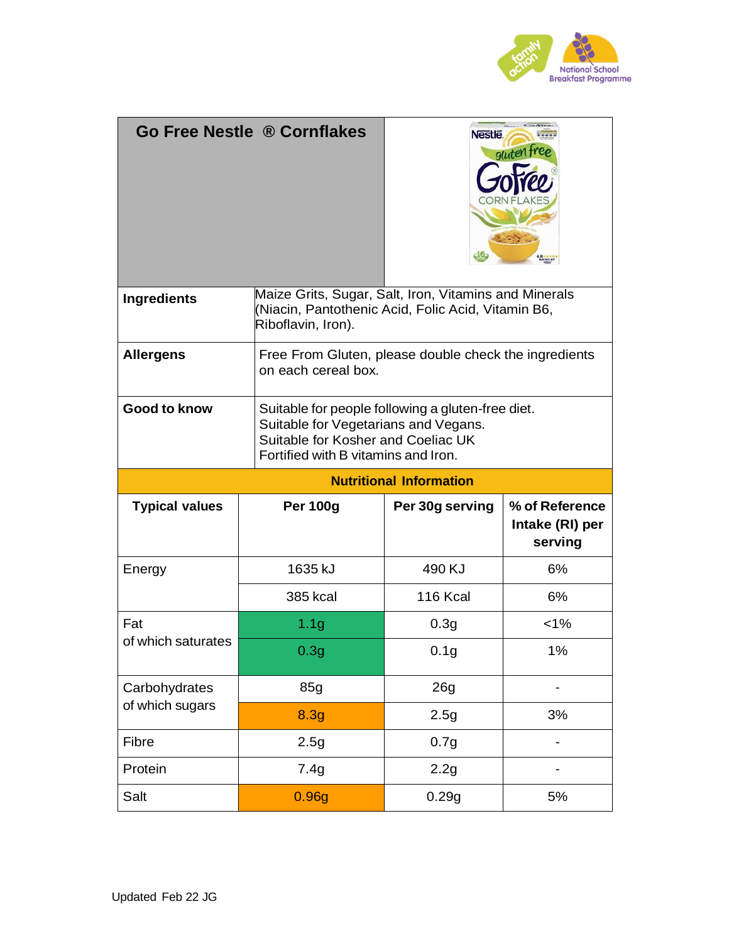

|                                | <b>Go Free Nestle ® Cornflakes</b>                                                                                                                                     | <b>Nestle</b>    | gluten fr                                    |
|--------------------------------|------------------------------------------------------------------------------------------------------------------------------------------------------------------------|------------------|----------------------------------------------|
| <b>Ingredients</b>             | Maize Grits, Sugar, Salt, Iron, Vitamins and Minerals<br>(Niacin, Pantothenic Acid, Folic Acid, Vitamin B6,<br>Riboflavin, Iron).                                      |                  |                                              |
| <b>Allergens</b>               | Free From Gluten, please double check the ingredients<br>on each cereal box.                                                                                           |                  |                                              |
| <b>Good to know</b>            | Suitable for people following a gluten-free diet.<br>Suitable for Vegetarians and Vegans.<br>Suitable for Kosher and Coeliac UK<br>Fortified with B vitamins and Iron. |                  |                                              |
| <b>Nutritional Information</b> |                                                                                                                                                                        |                  |                                              |
|                                |                                                                                                                                                                        |                  |                                              |
| <b>Typical values</b>          | <b>Per 100g</b>                                                                                                                                                        | Per 30g serving  | % of Reference<br>Intake (RI) per<br>serving |
| Energy                         | 1635 kJ                                                                                                                                                                | 490 KJ           | 6%                                           |
|                                | <b>385 kcal</b>                                                                                                                                                        | 116 Kcal         | 6%                                           |
| Fat                            | 1.1 <sub>g</sub>                                                                                                                                                       | 0.3 <sub>g</sub> | $< 1\%$                                      |
| of which saturates             | 0.3g                                                                                                                                                                   | 0.1 <sub>g</sub> | 1%                                           |
| Carbohydrates                  | 85g                                                                                                                                                                    | 26g              |                                              |
| of which sugars                | 8.3g                                                                                                                                                                   | 2.5g             | 3%                                           |
| Fibre                          | 2.5g                                                                                                                                                                   | 0.7g             |                                              |
| Protein                        | 7.4g                                                                                                                                                                   | 2.2g             |                                              |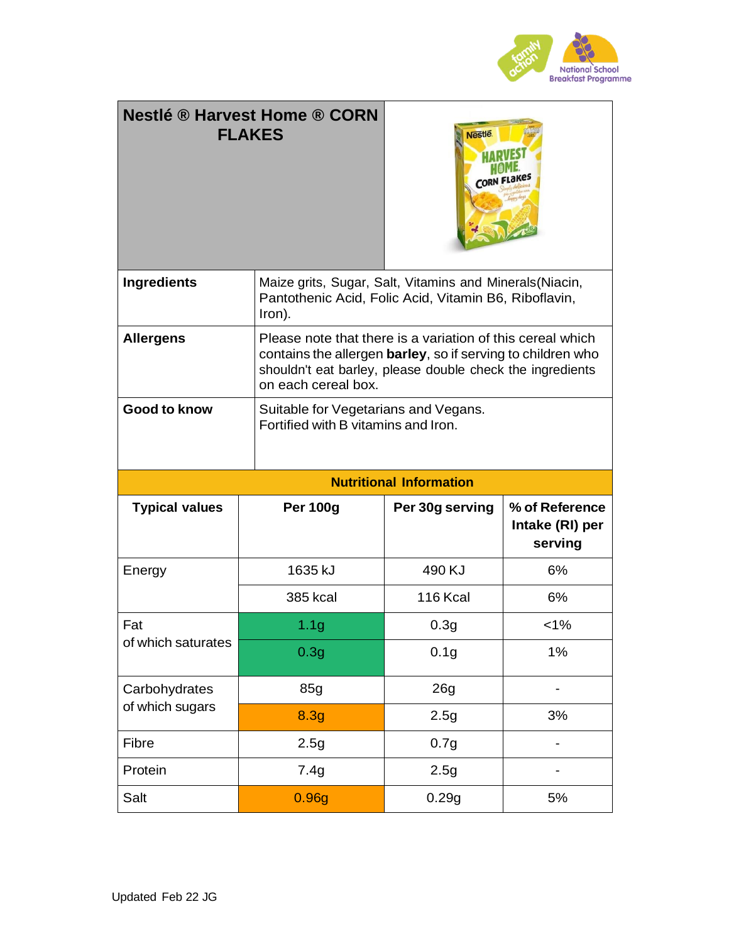

|                       | <b>Nestlé ® Harvest Home ® CORN</b><br><b>FLAKES</b>                                                                                                                                                          | <b>Nestle</b>                  |                                              |
|-----------------------|---------------------------------------------------------------------------------------------------------------------------------------------------------------------------------------------------------------|--------------------------------|----------------------------------------------|
| <b>Ingredients</b>    | Maize grits, Sugar, Salt, Vitamins and Minerals (Niacin,<br>Pantothenic Acid, Folic Acid, Vitamin B6, Riboflavin,<br>Iron).                                                                                   |                                |                                              |
| <b>Allergens</b>      | Please note that there is a variation of this cereal which<br>contains the allergen barley, so if serving to children who<br>shouldn't eat barley, please double check the ingredients<br>on each cereal box. |                                |                                              |
| <b>Good to know</b>   | Suitable for Vegetarians and Vegans.<br>Fortified with B vitamins and Iron.                                                                                                                                   |                                |                                              |
|                       |                                                                                                                                                                                                               |                                |                                              |
|                       |                                                                                                                                                                                                               | <b>Nutritional Information</b> |                                              |
| <b>Typical values</b> | <b>Per 100g</b>                                                                                                                                                                                               | Per 30g serving                | % of Reference<br>Intake (RI) per<br>serving |
| Energy                | 1635 kJ                                                                                                                                                                                                       | 490 KJ                         | 6%                                           |
|                       | <b>385 kcal</b>                                                                                                                                                                                               | 116 Kcal                       | 6%                                           |
| Fat                   | 1.1 <sub>g</sub>                                                                                                                                                                                              | 0.3g                           | $< 1\%$                                      |
| of which saturates    | 0.3g                                                                                                                                                                                                          | 0.1 <sub>g</sub>               | 1%                                           |
| Carbohydrates         | 85g                                                                                                                                                                                                           | 26g                            |                                              |
| of which sugars       | 8.3g                                                                                                                                                                                                          | 2.5g                           | 3%                                           |
| Fibre                 | 2.5g                                                                                                                                                                                                          | 0.7g                           |                                              |
| Protein               | 7.4g                                                                                                                                                                                                          | 2.5g                           |                                              |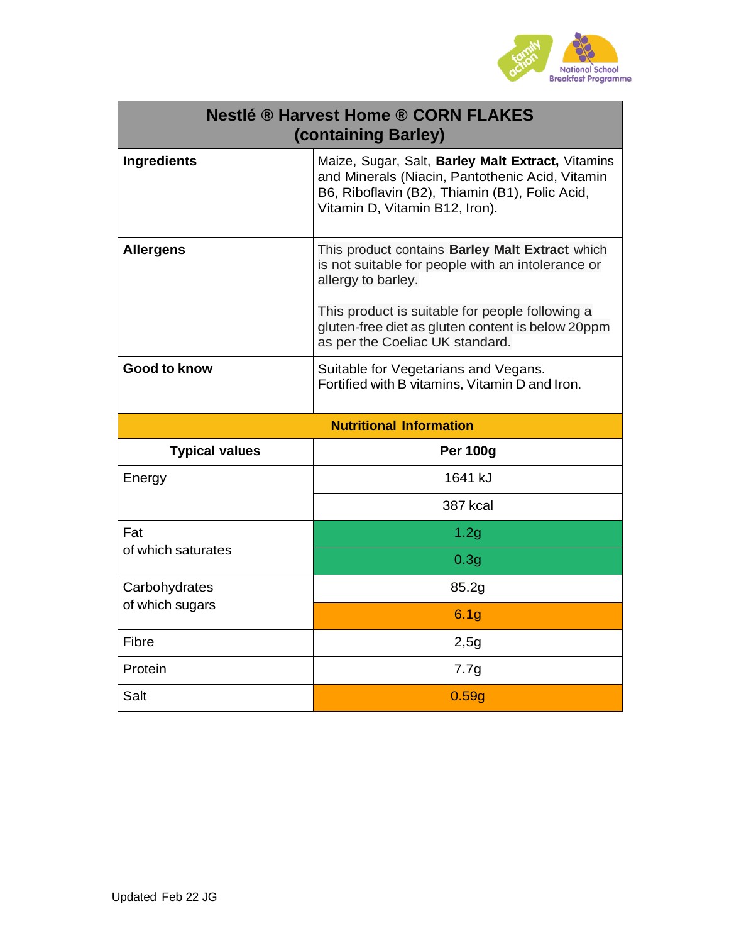

|                       | <b>Nestlé ® Harvest Home ® CORN FLAKES</b><br>(containing Barley)                                                                                                                        |
|-----------------------|------------------------------------------------------------------------------------------------------------------------------------------------------------------------------------------|
| <b>Ingredients</b>    | Maize, Sugar, Salt, Barley Malt Extract, Vitamins<br>and Minerals (Niacin, Pantothenic Acid, Vitamin<br>B6, Riboflavin (B2), Thiamin (B1), Folic Acid,<br>Vitamin D, Vitamin B12, Iron). |
| <b>Allergens</b>      | This product contains Barley Malt Extract which<br>is not suitable for people with an intolerance or<br>allergy to barley.                                                               |
|                       | This product is suitable for people following a<br>gluten-free diet as gluten content is below 20ppm<br>as per the Coeliac UK standard.                                                  |
| <b>Good to know</b>   | Suitable for Vegetarians and Vegans.<br>Fortified with B vitamins, Vitamin D and Iron.                                                                                                   |
|                       | <b>Nutritional Information</b>                                                                                                                                                           |
| <b>Typical values</b> | <b>Per 100g</b>                                                                                                                                                                          |
| Energy                |                                                                                                                                                                                          |
|                       | 1641 kJ                                                                                                                                                                                  |
|                       | 387 kcal                                                                                                                                                                                 |
| Fat                   | 1.2g                                                                                                                                                                                     |
| of which saturates    | 0.3 <sub>g</sub>                                                                                                                                                                         |
| Carbohydrates         | 85.2g                                                                                                                                                                                    |
| of which sugars       | 6.1 <sub>g</sub>                                                                                                                                                                         |
| Fibre                 | 2,5g                                                                                                                                                                                     |
| Protein               | 7.7g                                                                                                                                                                                     |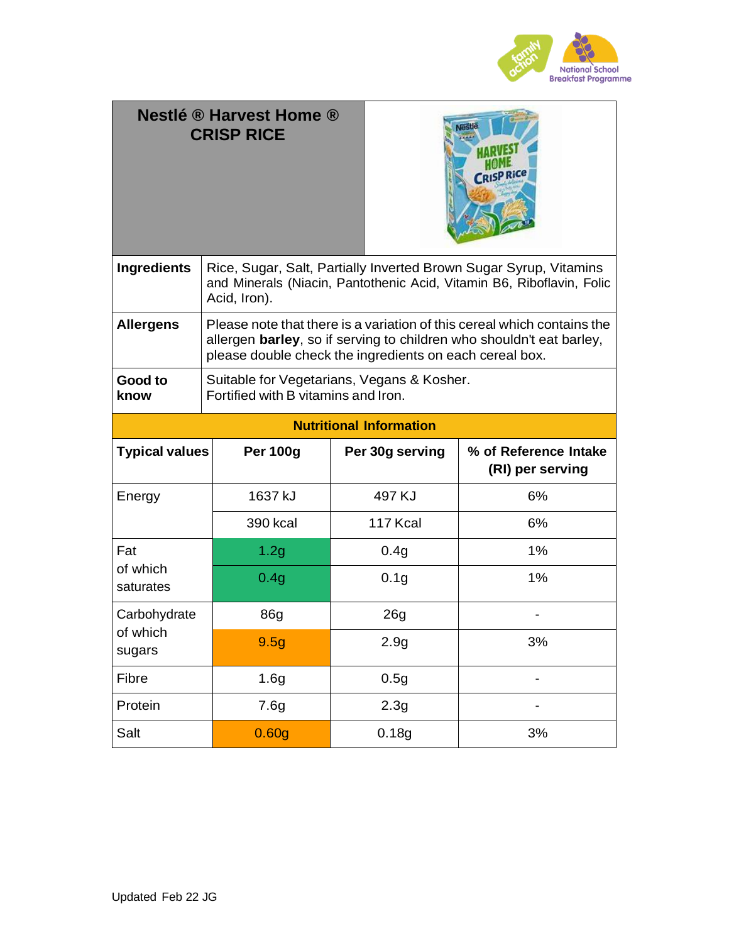

| <b>Nestlé ® Harvest Home ®</b><br><b>CRISP RICE</b> |                                                                                                                                                                                                            |                                | <b>SP Rice</b>                            |  |  |
|-----------------------------------------------------|------------------------------------------------------------------------------------------------------------------------------------------------------------------------------------------------------------|--------------------------------|-------------------------------------------|--|--|
| <b>Ingredients</b>                                  | Rice, Sugar, Salt, Partially Inverted Brown Sugar Syrup, Vitamins<br>and Minerals (Niacin, Pantothenic Acid, Vitamin B6, Riboflavin, Folic<br>Acid, Iron).                                                 |                                |                                           |  |  |
| <b>Allergens</b>                                    | Please note that there is a variation of this cereal which contains the<br>allergen barley, so if serving to children who shouldn't eat barley,<br>please double check the ingredients on each cereal box. |                                |                                           |  |  |
| Good to<br>know                                     | Suitable for Vegetarians, Vegans & Kosher.<br>Fortified with B vitamins and Iron.                                                                                                                          |                                |                                           |  |  |
|                                                     |                                                                                                                                                                                                            | <b>Nutritional Information</b> |                                           |  |  |
| <b>Typical values</b>                               | <b>Per 100g</b>                                                                                                                                                                                            | Per 30g serving                | % of Reference Intake<br>(RI) per serving |  |  |
| Energy                                              | 1637 kJ                                                                                                                                                                                                    | 497 KJ                         | 6%                                        |  |  |
|                                                     | <b>390 kcal</b>                                                                                                                                                                                            | 117 Kcal                       | 6%                                        |  |  |
| Fat                                                 | 1.2g                                                                                                                                                                                                       | 0.4g                           | 1%                                        |  |  |
| of which<br>saturates                               | 0.4g                                                                                                                                                                                                       | 0.1 <sub>g</sub>               | 1%                                        |  |  |
| Carbohydrate                                        | 86g                                                                                                                                                                                                        | 26g                            |                                           |  |  |
| of which<br>sugars                                  | 9.5g                                                                                                                                                                                                       | 2.9g                           | 3%                                        |  |  |
| Fibre                                               | 1.6g                                                                                                                                                                                                       | 0.5g                           |                                           |  |  |
| Protein                                             | 7.6g                                                                                                                                                                                                       | 2.3g                           |                                           |  |  |
| Salt                                                | 0.60g                                                                                                                                                                                                      | 0.18g                          | 3%                                        |  |  |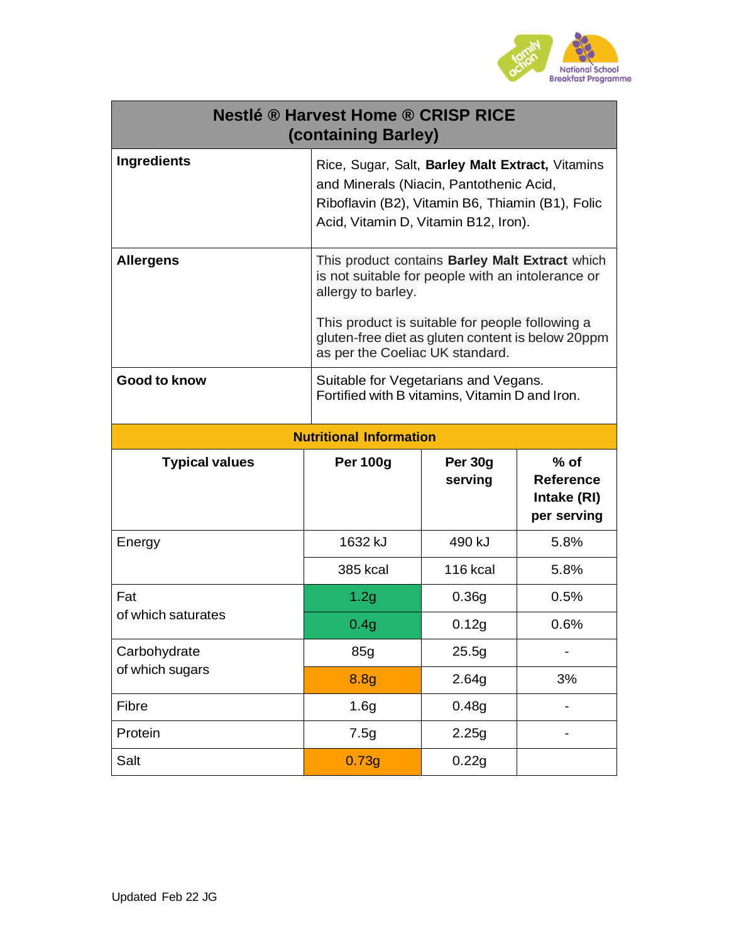

|                       | <b>Nestlé ® Harvest Home ® CRISP RICE</b><br>(containing Barley)                                                                                                                                                                                                      |                    |                                                          |  |  |
|-----------------------|-----------------------------------------------------------------------------------------------------------------------------------------------------------------------------------------------------------------------------------------------------------------------|--------------------|----------------------------------------------------------|--|--|
| <b>Ingredients</b>    | Rice, Sugar, Salt, Barley Malt Extract, Vitamins<br>and Minerals (Niacin, Pantothenic Acid,<br>Riboflavin (B2), Vitamin B6, Thiamin (B1), Folic<br>Acid, Vitamin D, Vitamin B12, Iron).                                                                               |                    |                                                          |  |  |
| <b>Allergens</b>      | This product contains Barley Malt Extract which<br>is not suitable for people with an intolerance or<br>allergy to barley.<br>This product is suitable for people following a<br>gluten-free diet as gluten content is below 20ppm<br>as per the Coeliac UK standard. |                    |                                                          |  |  |
| <b>Good to know</b>   | Suitable for Vegetarians and Vegans.<br>Fortified with B vitamins, Vitamin D and Iron.                                                                                                                                                                                |                    |                                                          |  |  |
|                       | <b>Nutritional Information</b>                                                                                                                                                                                                                                        |                    |                                                          |  |  |
| <b>Typical values</b> | <b>Per 100g</b>                                                                                                                                                                                                                                                       | Per 30g<br>serving | $%$ of<br><b>Reference</b><br>Intake (RI)<br>per serving |  |  |
| Energy                | 1632 kJ                                                                                                                                                                                                                                                               | 490 kJ             | 5.8%                                                     |  |  |
|                       | 385 kcal                                                                                                                                                                                                                                                              | <b>116 kcal</b>    | 5.8%                                                     |  |  |
| Fat                   | 1.2g                                                                                                                                                                                                                                                                  | 0.36g              | 0.5%                                                     |  |  |
| of which saturates    | 0.4g                                                                                                                                                                                                                                                                  | 0.12g              | 0.6%                                                     |  |  |
| Carbohydrate          | 85g                                                                                                                                                                                                                                                                   | 25.5g              |                                                          |  |  |
| of which sugars       | 8.8g                                                                                                                                                                                                                                                                  | 2.64g              | 3%                                                       |  |  |
| Fibre                 | 1.6g                                                                                                                                                                                                                                                                  | 0.48g              |                                                          |  |  |
| Protein               | 7.5g                                                                                                                                                                                                                                                                  | 2.25g              |                                                          |  |  |
| Salt                  | 0.73g                                                                                                                                                                                                                                                                 | 0.22g              |                                                          |  |  |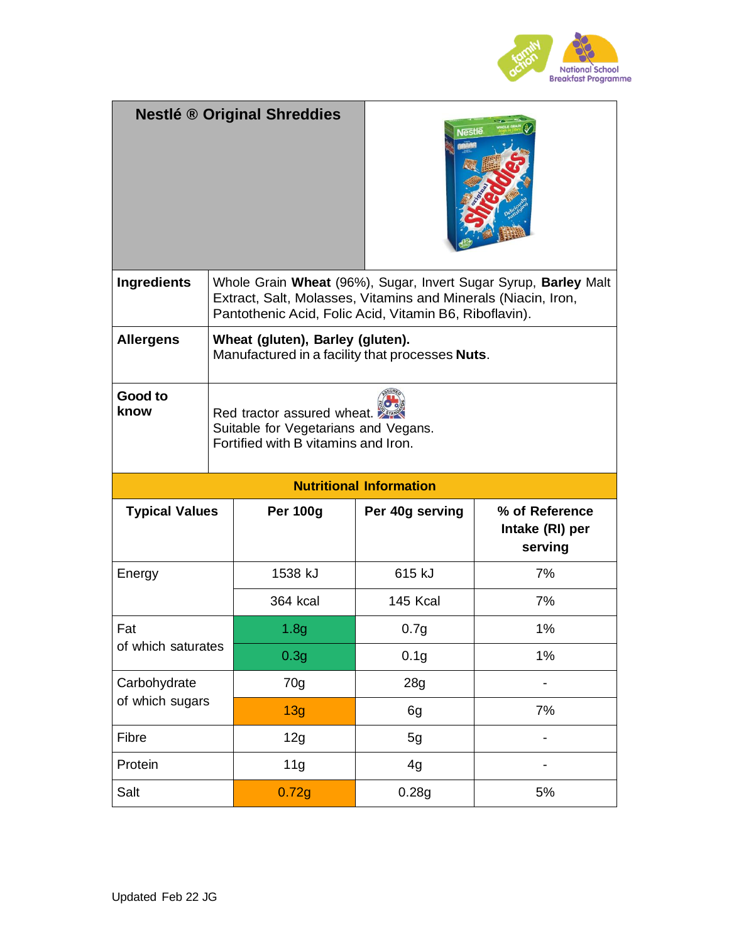

|                                |  | <b>Nestlé ® Original Shreddies</b>                                                                                      | <b>lestle</b>    |                                                                 |
|--------------------------------|--|-------------------------------------------------------------------------------------------------------------------------|------------------|-----------------------------------------------------------------|
| <b>Ingredients</b>             |  | Extract, Salt, Molasses, Vitamins and Minerals (Niacin, Iron,<br>Pantothenic Acid, Folic Acid, Vitamin B6, Riboflavin). |                  | Whole Grain Wheat (96%), Sugar, Invert Sugar Syrup, Barley Malt |
| <b>Allergens</b>               |  | Wheat (gluten), Barley (gluten).<br>Manufactured in a facility that processes <b>Nuts</b> .                             |                  |                                                                 |
| Good to<br>know                |  | Red tractor assured wheat.<br>Suitable for Vegetarians and Vegans.<br>Fortified with B vitamins and Iron.               |                  |                                                                 |
| <b>Nutritional Information</b> |  |                                                                                                                         |                  |                                                                 |
|                                |  |                                                                                                                         |                  |                                                                 |
| <b>Typical Values</b>          |  | <b>Per 100g</b>                                                                                                         | Per 40g serving  | % of Reference<br>Intake (RI) per<br>serving                    |
| Energy                         |  | 1538 kJ                                                                                                                 | 615 kJ           | 7%                                                              |
|                                |  | 364 kcal                                                                                                                | 145 Kcal         | 7%                                                              |
| Fat                            |  | 1.8 <sub>q</sub>                                                                                                        | 0.7 <sub>g</sub> | 1%                                                              |
| of which saturates             |  | 0.3 <sub>g</sub>                                                                                                        | 0.1 <sub>g</sub> | 1%                                                              |
| Carbohydrate                   |  | 70g                                                                                                                     | 28g              |                                                                 |
| of which sugars                |  | 13g                                                                                                                     | 6g               | 7%                                                              |
| Fibre                          |  | 12g                                                                                                                     | 5g               |                                                                 |
| Protein                        |  | 11g                                                                                                                     | 4g               |                                                                 |